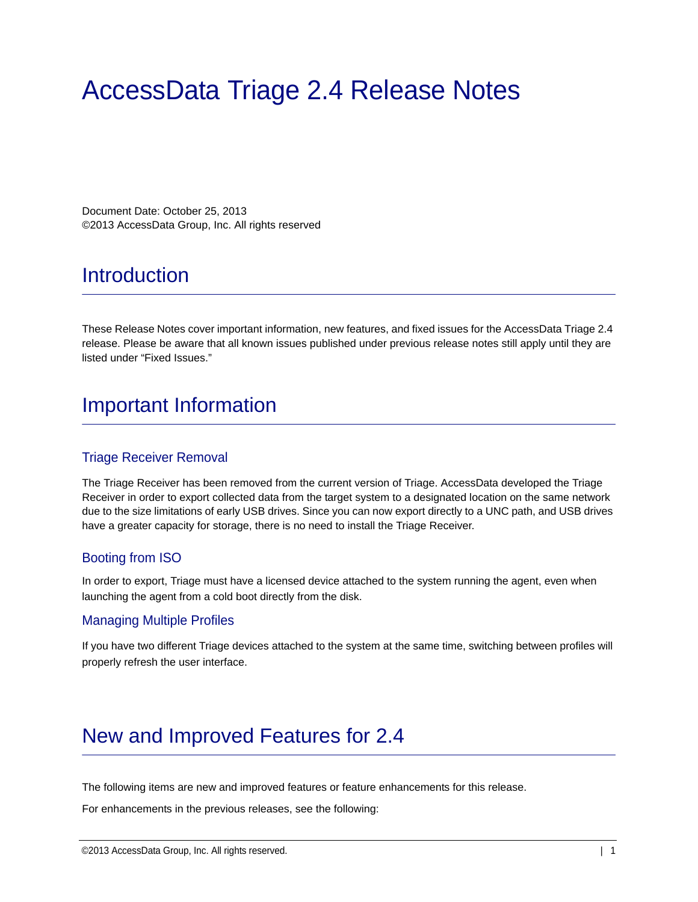# AccessData Triage 2.4 Release Notes

Document Date: October 25, 2013 ©2013 AccessData Group, Inc. All rights reserved

# **Introduction**

These Release Notes cover important information, new features, and fixed issues for the AccessData Triage 2.4 release. Please be aware that all known issues published under previous release notes still apply until they are listed under "Fixed Issues."

# Important Information

#### Triage Receiver Removal

The Triage Receiver has been removed from the current version of Triage. AccessData developed the Triage Receiver in order to export collected data from the target system to a designated location on the same network due to the size limitations of early USB drives. Since you can now export directly to a UNC path, and USB drives have a greater capacity for storage, there is no need to install the Triage Receiver.

#### Booting from ISO

In order to export, Triage must have a licensed device attached to the system running the agent, even when launching the agent from a cold boot directly from the disk.

#### Managing Multiple Profiles

If you have two different Triage devices attached to the system at the same time, switching between profiles will properly refresh the user interface.

# New and Improved Features for 2.4

The following items are new and improved features or feature enhancements for this release.

For enhancements in the previous releases, see the following: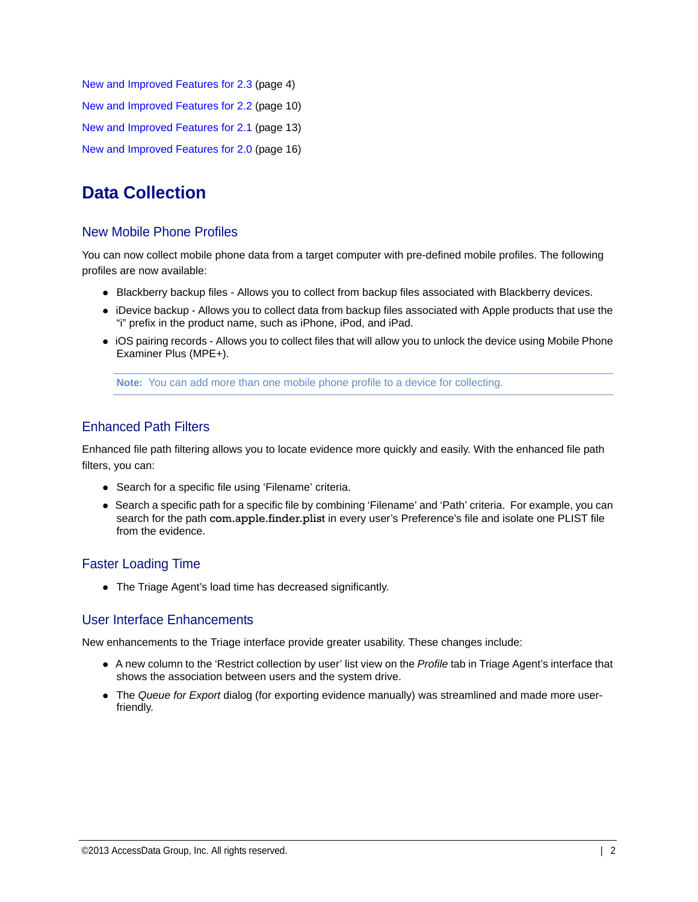[New and Improved Features for 2.3 \(page 4\)](#page-3-0) [New and Improved Features for 2.2 \(page 10\)](#page-9-0) [New and Improved Features for 2.1 \(page 13\)](#page-12-0) [New and Improved Features for 2.0 \(page 16\)](#page-15-0)

# **Data Collection**

#### New Mobile Phone Profiles

You can now collect mobile phone data from a target computer with pre-defined mobile profiles. The following profiles are now available:

- Blackberry backup files Allows you to collect from backup files associated with Blackberry devices.
- iDevice backup Allows you to collect data from backup files associated with Apple products that use the "i" prefix in the product name, such as iPhone, iPod, and iPad.
- iOS pairing records Allows you to collect files that will allow you to unlock the device using Mobile Phone Examiner Plus (MPE+).

**Note:** You can add more than one mobile phone profile to a device for collecting.

#### Enhanced Path Filters

Enhanced file path filtering allows you to locate evidence more quickly and easily. With the enhanced file path filters, you can:

- Search for a specific file using 'Filename' criteria.
- Search a specific path for a specific file by combining 'Filename' and 'Path' criteria. For example, you can search for the path com.apple.finder.plist in every user's Preference's file and isolate one PLIST file from the evidence.

#### Faster Loading Time

The Triage Agent's load time has decreased significantly.

#### User Interface Enhancements

New enhancements to the Triage interface provide greater usability. These changes include:

- A new column to the 'Restrict collection by user' list view on the *Profile* tab in Triage Agent's interface that shows the association between users and the system drive.
- The *Queue for Export* dialog (for exporting evidence manually) was streamlined and made more userfriendly.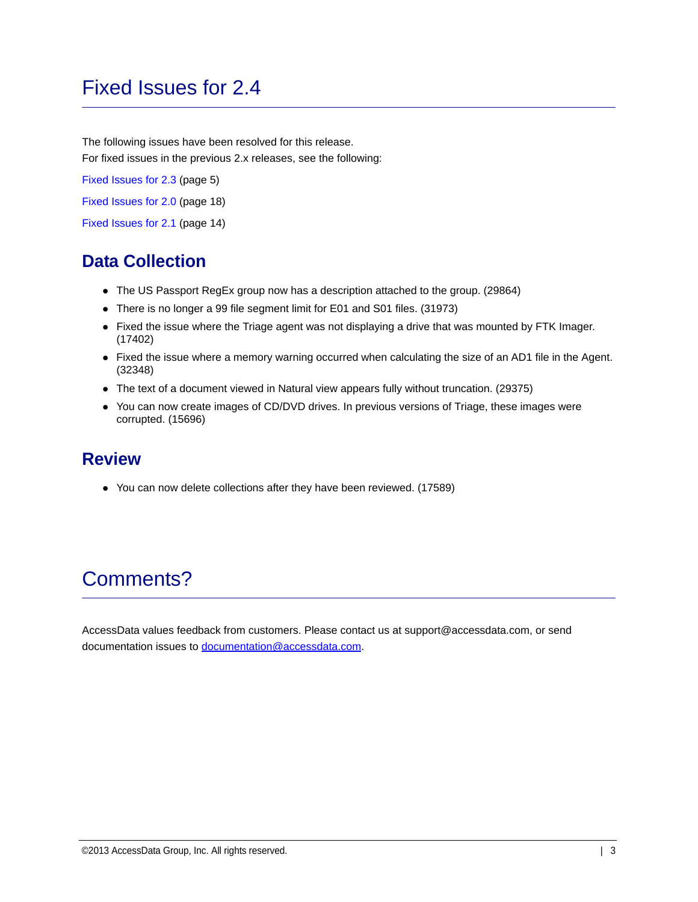# Fixed Issues for 2.4

The following issues have been resolved for this release. For fixed issues in the previous 2.x releases, see the following:

[Fixed Issues for 2.3 \(page 5\)](#page-4-0)

[Fixed Issues for 2.0 \(page 18\)](#page-17-0)

[Fixed Issues for 2.1 \(page 14\)](#page-13-0)

## **Data Collection**

- The US Passport RegEx group now has a description attached to the group. (29864)
- There is no longer a 99 file segment limit for E01 and S01 files. (31973)
- Fixed the issue where the Triage agent was not displaying a drive that was mounted by FTK Imager. (17402)
- Fixed the issue where a memory warning occurred when calculating the size of an AD1 file in the Agent. (32348)
- The text of a document viewed in Natural view appears fully without truncation. (29375)
- You can now create images of CD/DVD drives. In previous versions of Triage, these images were corrupted. (15696)

#### **Review**

You can now delete collections after they have been reviewed. (17589)

# Comments?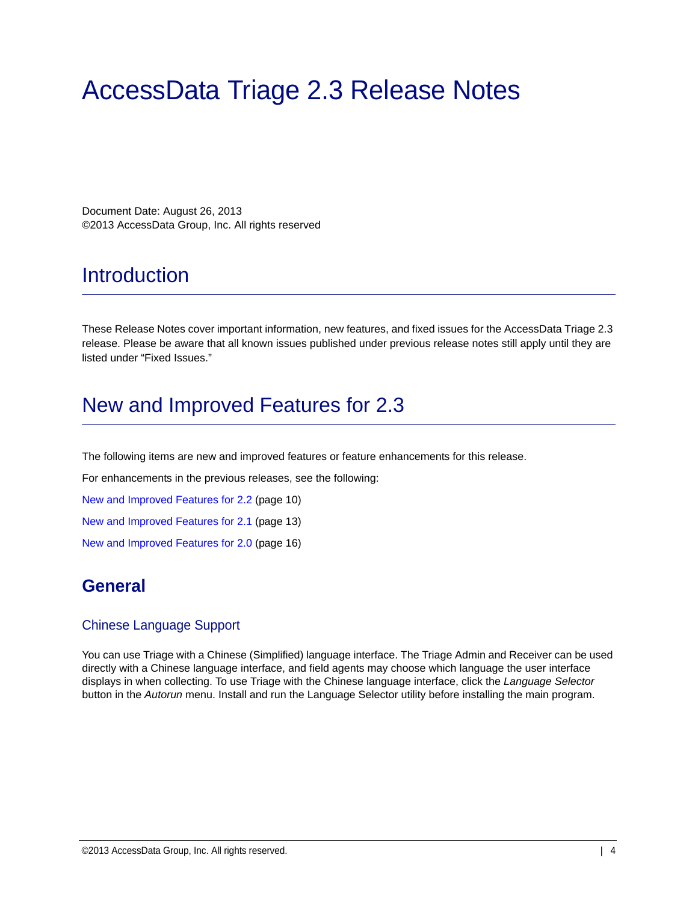# AccessData Triage 2.3 Release Notes

Document Date: August 26, 2013 ©2013 AccessData Group, Inc. All rights reserved

## **Introduction**

These Release Notes cover important information, new features, and fixed issues for the AccessData Triage 2.3 release. Please be aware that all known issues published under previous release notes still apply until they are listed under "Fixed Issues."

## <span id="page-3-0"></span>New and Improved Features for 2.3

The following items are new and improved features or feature enhancements for this release.

For enhancements in the previous releases, see the following:

[New and Improved Features for 2.2 \(page 10\)](#page-9-0)

[New and Improved Features for 2.1 \(page 13\)](#page-12-0)

[New and Improved Features for 2.0 \(page 16\)](#page-15-0)

#### **General**

#### Chinese Language Support

You can use Triage with a Chinese (Simplified) language interface. The Triage Admin and Receiver can be used directly with a Chinese language interface, and field agents may choose which language the user interface displays in when collecting. To use Triage with the Chinese language interface, click the *Language Selector* button in the *Autorun* menu. Install and run the Language Selector utility before installing the main program.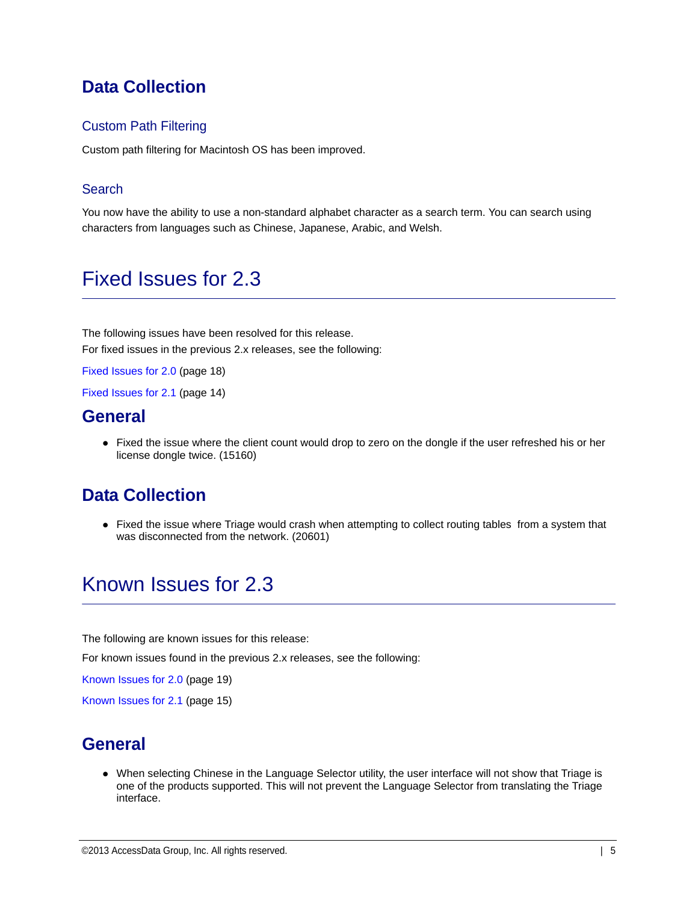### **Data Collection**

#### Custom Path Filtering

Custom path filtering for Macintosh OS has been improved.

#### **Search**

You now have the ability to use a non-standard alphabet character as a search term. You can search using characters from languages such as Chinese, Japanese, Arabic, and Welsh.

# <span id="page-4-0"></span>Fixed Issues for 2.3

The following issues have been resolved for this release. For fixed issues in the previous 2.x releases, see the following:

[Fixed Issues for 2.0 \(page 18\)](#page-17-0)

[Fixed Issues for 2.1 \(page 14\)](#page-13-0)

#### **General**

• Fixed the issue where the client count would drop to zero on the dongle if the user refreshed his or her license dongle twice. (15160)

#### **Data Collection**

• Fixed the issue where Triage would crash when attempting to collect routing tables from a system that was disconnected from the network. (20601)

# Known Issues for 2.3

The following are known issues for this release:

For known issues found in the previous 2.x releases, see the following:

[Known Issues for 2.0 \(page 19\)](#page-18-0)

[Known Issues for 2.1 \(page 15\)](#page-14-0)

#### **General**

When selecting Chinese in the Language Selector utility, the user interface will not show that Triage is one of the products supported. This will not prevent the Language Selector from translating the Triage interface.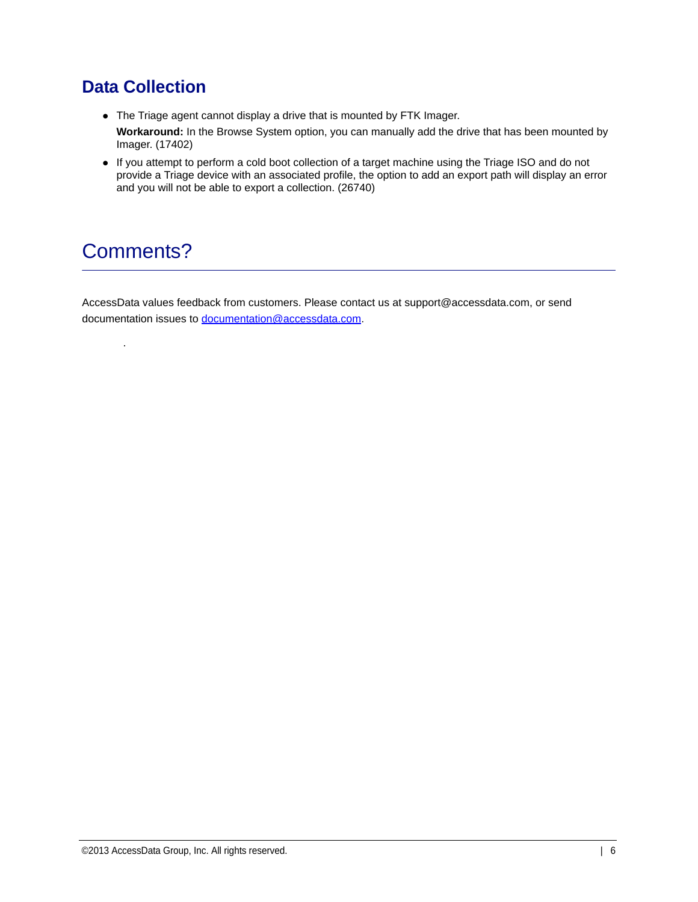### **Data Collection**

- The Triage agent cannot display a drive that is mounted by FTK Imager. **Workaround:** In the Browse System option, you can manually add the drive that has been mounted by Imager. (17402)
- If you attempt to perform a cold boot collection of a target machine using the Triage ISO and do not provide a Triage device with an associated profile, the option to add an export path will display an error and you will not be able to export a collection. (26740)

# Comments?

.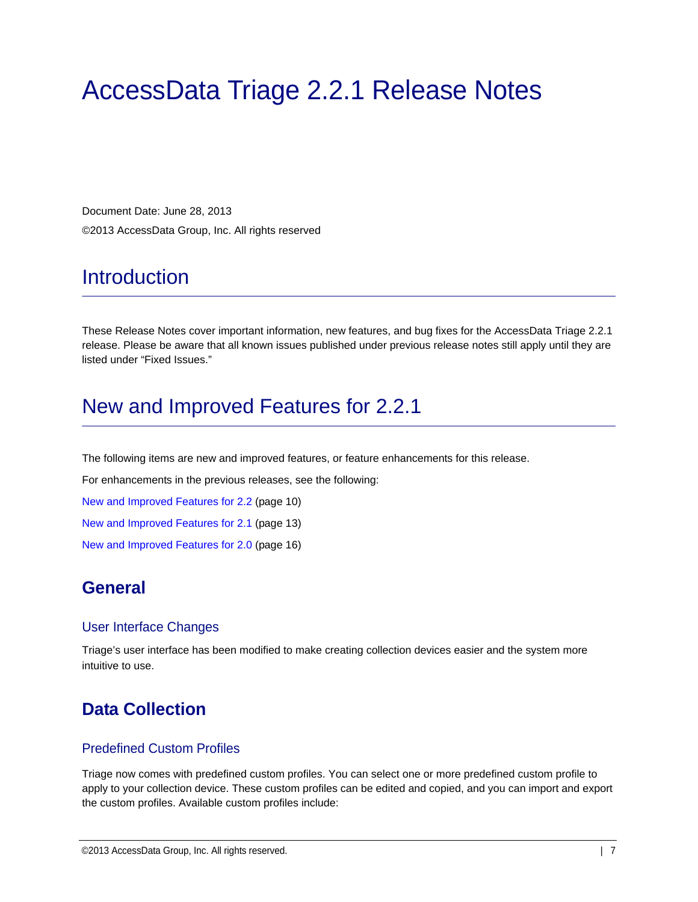# AccessData Triage 2.2.1 Release Notes

Document Date: June 28, 2013 ©2013 AccessData Group, Inc. All rights reserved

# **Introduction**

These Release Notes cover important information, new features, and bug fixes for the AccessData Triage 2.2.1 release. Please be aware that all known issues published under previous release notes still apply until they are listed under "Fixed Issues."

# New and Improved Features for 2.2.1

The following items are new and improved features, or feature enhancements for this release.

For enhancements in the previous releases, see the following:

[New and Improved Features for 2.2 \(page 10\)](#page-9-0)

[New and Improved Features for 2.1 \(page 13\)](#page-12-0)

[New and Improved Features for 2.0 \(page 16\)](#page-15-0)

### **General**

#### User Interface Changes

Triage's user interface has been modified to make creating collection devices easier and the system more intuitive to use.

### **Data Collection**

#### Predefined Custom Profiles

Triage now comes with predefined custom profiles. You can select one or more predefined custom profile to apply to your collection device. These custom profiles can be edited and copied, and you can import and export the custom profiles. Available custom profiles include: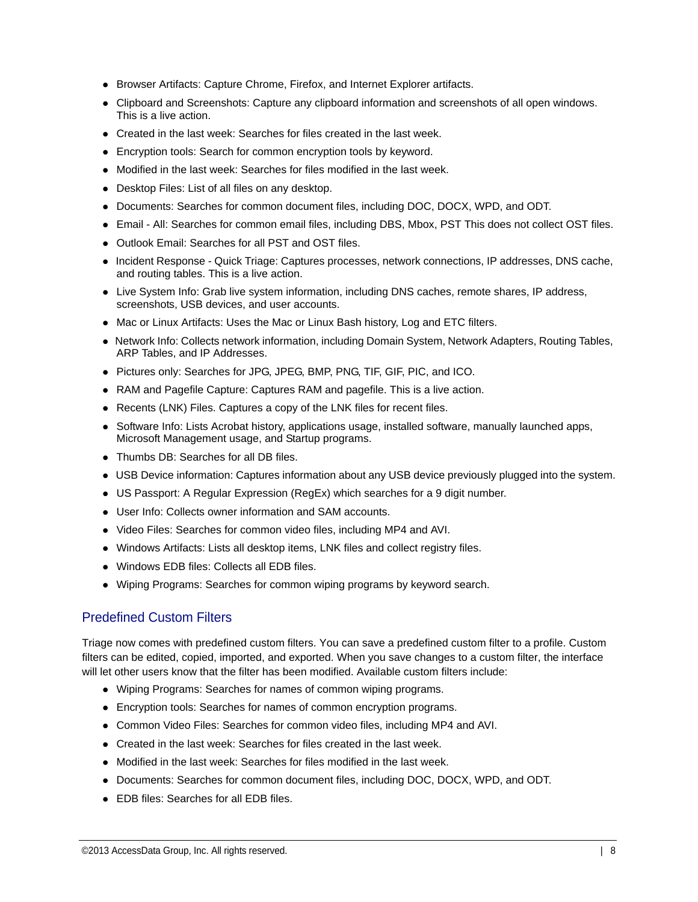- Browser Artifacts: Capture Chrome, Firefox, and Internet Explorer artifacts.
- Clipboard and Screenshots: Capture any clipboard information and screenshots of all open windows. This is a live action.
- Created in the last week: Searches for files created in the last week.
- Encryption tools: Search for common encryption tools by keyword.
- Modified in the last week: Searches for files modified in the last week.
- Desktop Files: List of all files on any desktop.
- Documents: Searches for common document files, including DOC, DOCX, WPD, and ODT.
- Email All: Searches for common email files, including DBS, Mbox, PST This does not collect OST files.
- Outlook Email: Searches for all PST and OST files.
- Incident Response Quick Triage: Captures processes, network connections, IP addresses, DNS cache, and routing tables. This is a live action.
- Live System Info: Grab live system information, including DNS caches, remote shares, IP address, screenshots, USB devices, and user accounts.
- Mac or Linux Artifacts: Uses the Mac or Linux Bash history, Log and ETC filters.
- Network Info: Collects network information, including Domain System, Network Adapters, Routing Tables, ARP Tables, and IP Addresses.
- Pictures only: Searches for JPG, JPEG, BMP, PNG, TIF, GIF, PIC, and ICO.
- RAM and Pagefile Capture: Captures RAM and pagefile. This is a live action.
- Recents (LNK) Files. Captures a copy of the LNK files for recent files.
- Software Info: Lists Acrobat history, applications usage, installed software, manually launched apps, Microsoft Management usage, and Startup programs.
- Thumbs DB: Searches for all DB files.
- USB Device information: Captures information about any USB device previously plugged into the system.
- US Passport: A Regular Expression (RegEx) which searches for a 9 digit number.
- User Info: Collects owner information and SAM accounts.
- Video Files: Searches for common video files, including MP4 and AVI.
- Windows Artifacts: Lists all desktop items, LNK files and collect registry files.
- Windows EDB files: Collects all EDB files.
- Wiping Programs: Searches for common wiping programs by keyword search.

#### Predefined Custom Filters

Triage now comes with predefined custom filters. You can save a predefined custom filter to a profile. Custom filters can be edited, copied, imported, and exported. When you save changes to a custom filter, the interface will let other users know that the filter has been modified. Available custom filters include:

- Wiping Programs: Searches for names of common wiping programs.
- Encryption tools: Searches for names of common encryption programs.
- Common Video Files: Searches for common video files, including MP4 and AVI.
- Created in the last week: Searches for files created in the last week.
- Modified in the last week: Searches for files modified in the last week.
- Documents: Searches for common document files, including DOC, DOCX, WPD, and ODT.
- EDB files: Searches for all EDB files.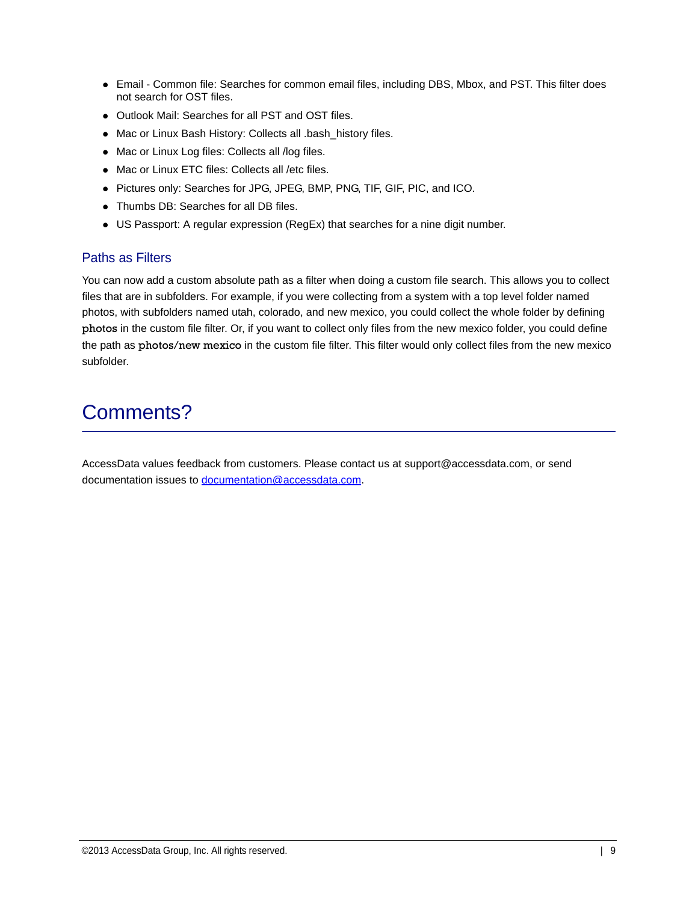- Email Common file: Searches for common email files, including DBS, Mbox, and PST. This filter does not search for OST files.
- Outlook Mail: Searches for all PST and OST files.
- Mac or Linux Bash History: Collects all .bash\_history files.
- Mac or Linux Log files: Collects all /log files.
- Mac or Linux ETC files: Collects all /etc files.
- Pictures only: Searches for JPG, JPEG, BMP, PNG, TIF, GIF, PIC, and ICO.
- Thumbs DB: Searches for all DB files.
- US Passport: A regular expression (RegEx) that searches for a nine digit number.

#### Paths as Filters

You can now add a custom absolute path as a filter when doing a custom file search. This allows you to collect files that are in subfolders. For example, if you were collecting from a system with a top level folder named photos, with subfolders named utah, colorado, and new mexico, you could collect the whole folder by defining photos in the custom file filter. Or, if you want to collect only files from the new mexico folder, you could define the path as photos/new mexico in the custom file filter. This filter would only collect files from the new mexico subfolder.

# Comments?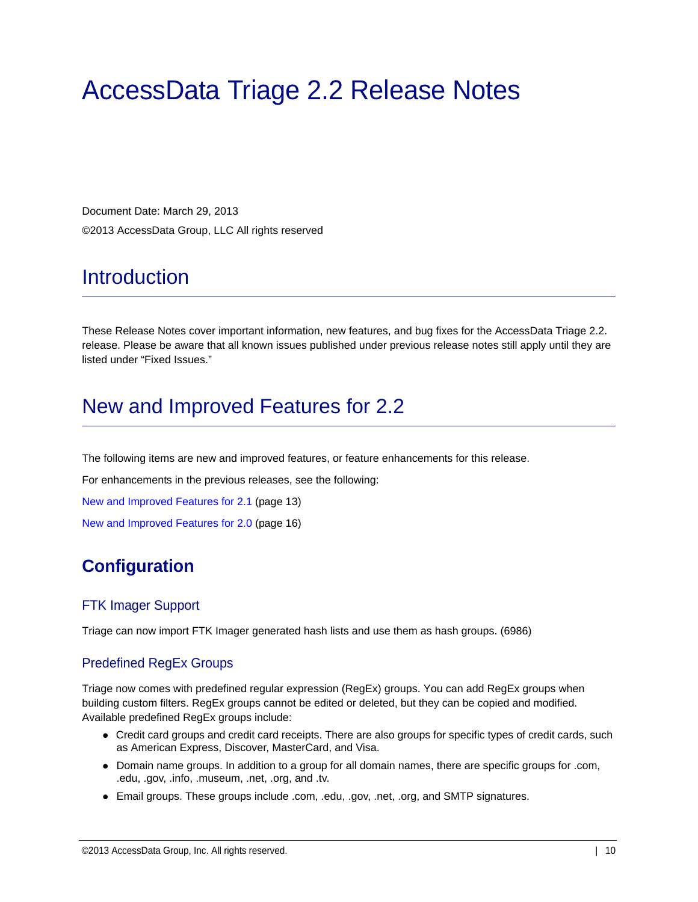# AccessData Triage 2.2 Release Notes

Document Date: March 29, 2013 ©2013 AccessData Group, LLC All rights reserved

# **Introduction**

These Release Notes cover important information, new features, and bug fixes for the AccessData Triage 2.2. release. Please be aware that all known issues published under previous release notes still apply until they are listed under "Fixed Issues."

# <span id="page-9-0"></span>New and Improved Features for 2.2

The following items are new and improved features, or feature enhancements for this release.

For enhancements in the previous releases, see the following:

[New and Improved Features for 2.1 \(page 13\)](#page-12-0)

[New and Improved Features for 2.0 \(page 16\)](#page-15-0)

### **Configuration**

#### FTK Imager Support

Triage can now import FTK Imager generated hash lists and use them as hash groups. (6986)

#### Predefined RegEx Groups

Triage now comes with predefined regular expression (RegEx) groups. You can add RegEx groups when building custom filters. RegEx groups cannot be edited or deleted, but they can be copied and modified. Available predefined RegEx groups include:

- Credit card groups and credit card receipts. There are also groups for specific types of credit cards, such as American Express, Discover, MasterCard, and Visa.
- Domain name groups. In addition to a group for all domain names, there are specific groups for .com, .edu, .gov, .info, .museum, .net, .org, and .tv.
- Email groups. These groups include .com, .edu, .gov, .net, .org, and SMTP signatures.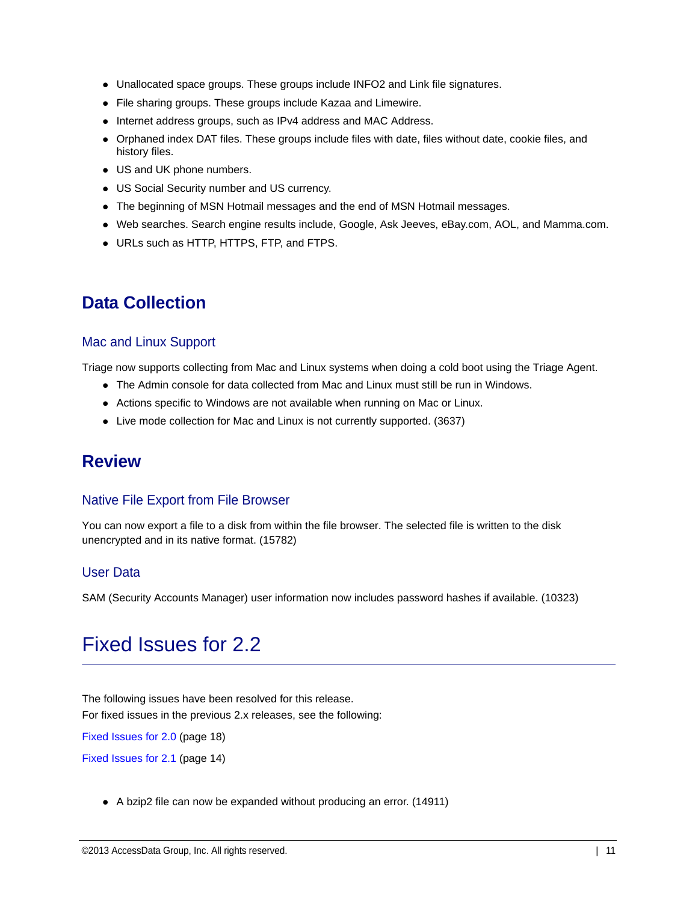- Unallocated space groups. These groups include INFO2 and Link file signatures.
- File sharing groups. These groups include Kazaa and Limewire.
- Internet address groups, such as IPv4 address and MAC Address.
- Orphaned index DAT files. These groups include files with date, files without date, cookie files, and history files.
- US and UK phone numbers.
- US Social Security number and US currency.
- The beginning of MSN Hotmail messages and the end of MSN Hotmail messages.
- Web searches. Search engine results include, Google, Ask Jeeves, eBay.com, AOL, and Mamma.com.
- URLs such as HTTP, HTTPS, FTP, and FTPS.

### **Data Collection**

#### Mac and Linux Support

Triage now supports collecting from Mac and Linux systems when doing a cold boot using the Triage Agent.

- The Admin console for data collected from Mac and Linux must still be run in Windows.
- Actions specific to Windows are not available when running on Mac or Linux.
- Live mode collection for Mac and Linux is not currently supported. (3637)

### **Review**

#### Native File Export from File Browser

You can now export a file to a disk from within the file browser. The selected file is written to the disk unencrypted and in its native format. (15782)

#### User Data

SAM (Security Accounts Manager) user information now includes password hashes if available. (10323)

# Fixed Issues for 2.2

The following issues have been resolved for this release. For fixed issues in the previous 2.x releases, see the following:

[Fixed Issues for 2.0 \(page 18\)](#page-17-0)

[Fixed Issues for 2.1 \(page 14\)](#page-13-0)

A bzip2 file can now be expanded without producing an error. (14911)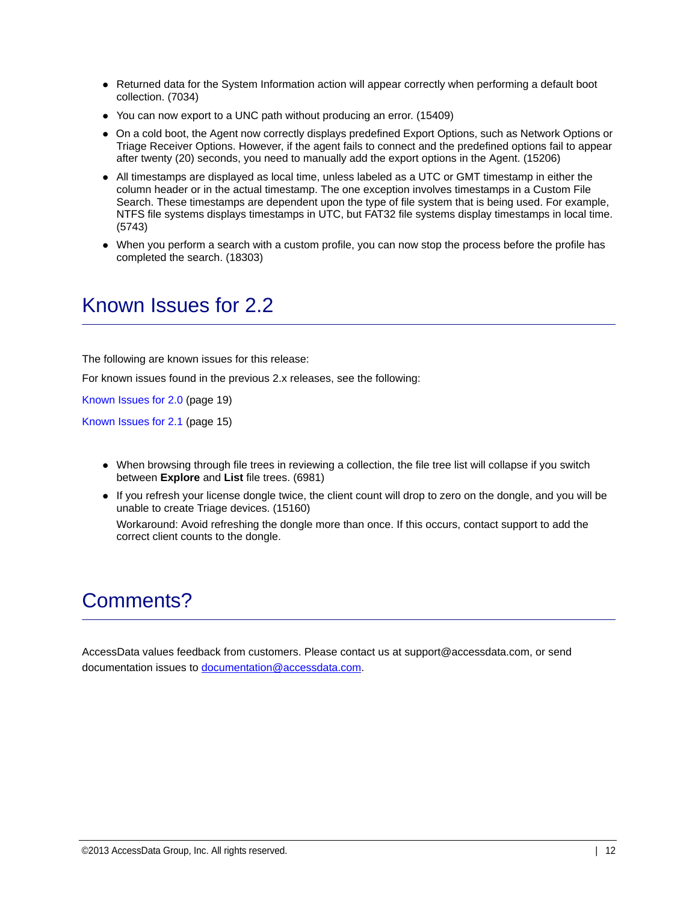- Returned data for the System Information action will appear correctly when performing a default boot collection. (7034)
- You can now export to a UNC path without producing an error. (15409)
- On a cold boot, the Agent now correctly displays predefined Export Options, such as Network Options or Triage Receiver Options. However, if the agent fails to connect and the predefined options fail to appear after twenty (20) seconds, you need to manually add the export options in the Agent. (15206)
- All timestamps are displayed as local time, unless labeled as a UTC or GMT timestamp in either the column header or in the actual timestamp. The one exception involves timestamps in a Custom File Search. These timestamps are dependent upon the type of file system that is being used. For example, NTFS file systems displays timestamps in UTC, but FAT32 file systems display timestamps in local time. (5743)
- When you perform a search with a custom profile, you can now stop the process before the profile has completed the search. (18303)

# Known Issues for 2.2

The following are known issues for this release:

For known issues found in the previous 2.x releases, see the following:

[Known Issues for 2.0 \(page 19\)](#page-18-0)

[Known Issues for 2.1 \(page 15\)](#page-14-0)

- When browsing through file trees in reviewing a collection, the file tree list will collapse if you switch between **Explore** and **List** file trees. (6981)
- If you refresh your license dongle twice, the client count will drop to zero on the dongle, and you will be unable to create Triage devices. (15160) Workaround: Avoid refreshing the dongle more than once. If this occurs, contact support to add the correct client counts to the dongle.

# Comments?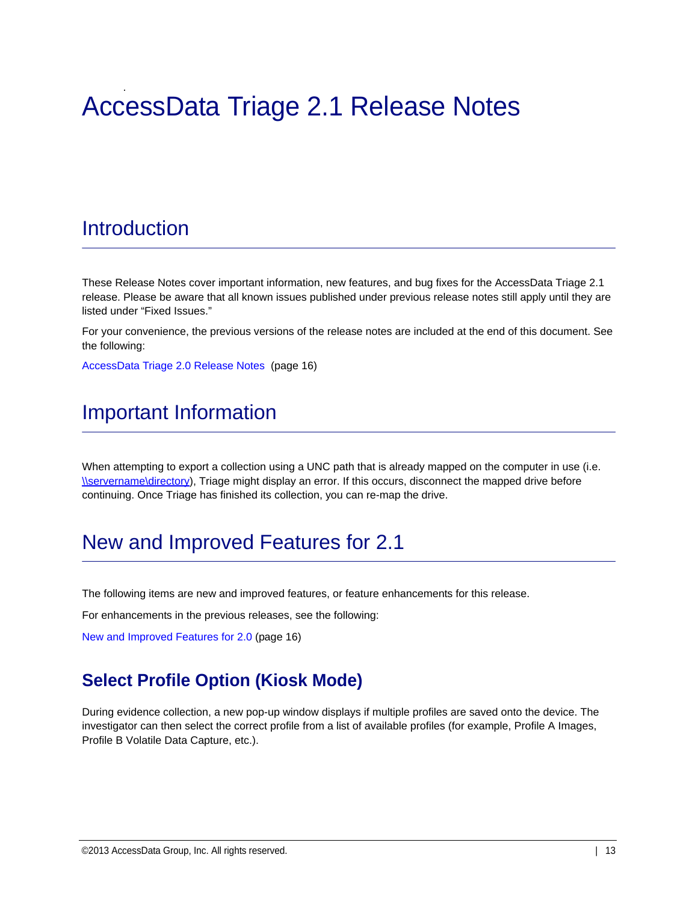### . AccessData Triage 2.1 Release Notes

# Introduction

These Release Notes cover important information, new features, and bug fixes for the AccessData Triage 2.1 [release. Please be aware that all known issues published under previous release notes still apply until they are](file:///\\servername\directory)  listed under "Fixed Issues."

For your convenience, the previous versions of the release notes are included at the end of this document. See the following:

[AccessData Triage 2.0 Release Notes \(page 16\)](#page-15-1)

# Important Information

When attempting to export a collection using a UNC path that is already mapped on the computer in use (i.e. [\\servername\directory](file:///\\servername\directory)), Triage might display an error. If this occurs, disconnect the mapped drive before continuing. Once Triage has finished its collection, you can re-map the drive.

# <span id="page-12-0"></span>New and Improved Features for 2.1

The following items are new and improved features, or feature enhancements for this release.

For enhancements in the previous releases, see the following:

[New and Improved Features for 2.0 \(page 16\)](#page-15-0)

### **Select Profile Option (Kiosk Mode)**

During evidence collection, a new pop-up window displays if multiple profiles are saved onto the device. The investigator can then select the correct profile from a list of available profiles (for example, Profile A Images, Profile B Volatile Data Capture, etc.).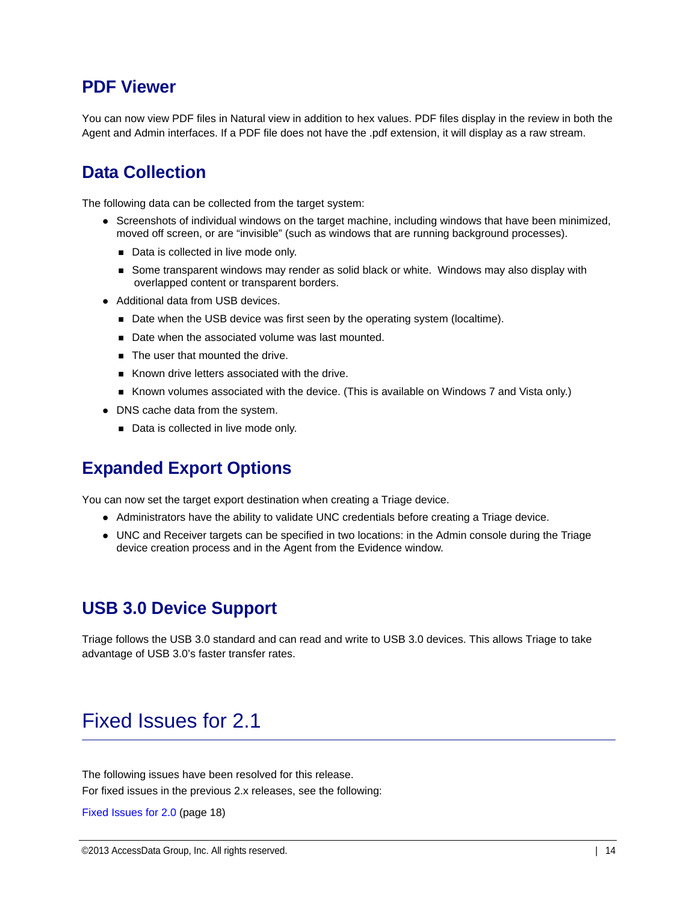#### **PDF Viewer**

You can now view PDF files in Natural view in addition to hex values. PDF files display in the review in both the Agent and Admin interfaces. If a PDF file does not have the .pdf extension, it will display as a raw stream.

#### **Data Collection**

The following data can be collected from the target system:

- Screenshots of individual windows on the target machine, including windows that have been minimized, moved off screen, or are "invisible" (such as windows that are running background processes).
	- Data is collected in live mode only.
	- **Some transparent windows may render as solid black or white. Windows may also display with** overlapped content or transparent borders.
- Additional data from USB devices.
	- Date when the USB device was first seen by the operating system (localtime).
	- Date when the associated volume was last mounted.
	- The user that mounted the drive.
	- Known drive letters associated with the drive.
	- Known volumes associated with the device. (This is available on Windows 7 and Vista only.)
- DNS cache data from the system.
	- Data is collected in live mode only.

#### **Expanded Export Options**

You can now set the target export destination when creating a Triage device.

- Administrators have the ability to validate UNC credentials before creating a Triage device.
- UNC and Receiver targets can be specified in two locations: in the Admin console during the Triage device creation process and in the Agent from the Evidence window.

#### **USB 3.0 Device Support**

Triage follows the USB 3.0 standard and can read and write to USB 3.0 devices. This allows Triage to take advantage of USB 3.0's faster transfer rates.

### <span id="page-13-0"></span>Fixed Issues for 2.1

The following issues have been resolved for this release. For fixed issues in the previous 2.x releases, see the following:

[Fixed Issues for 2.0 \(page 18\)](#page-17-0)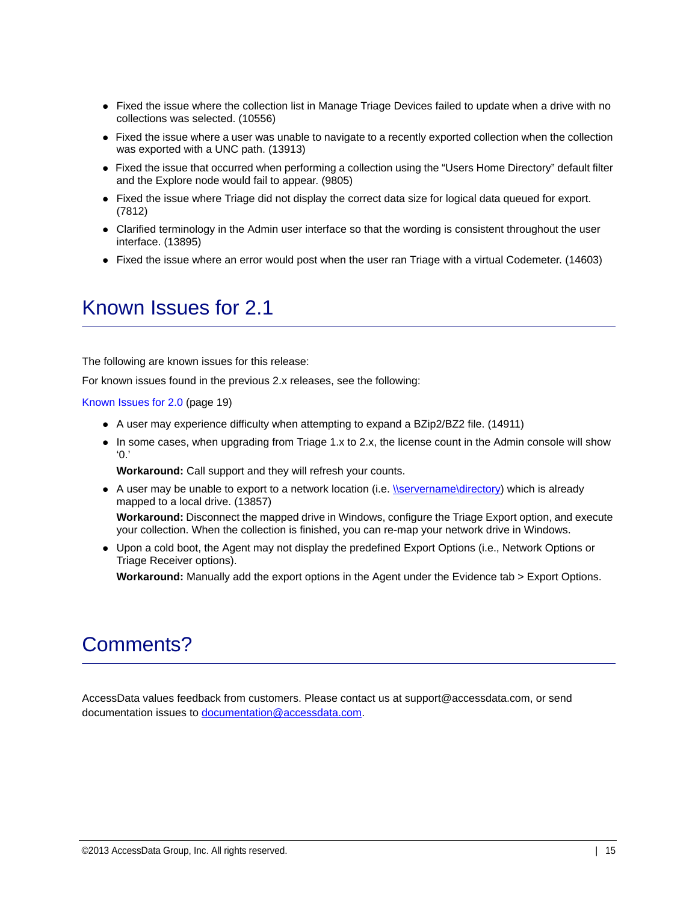- Fixed the issue where the collection list in Manage Triage Devices failed to update when a drive with no collections was selected. (10556)
- Fixed the issue where a user was unable to navigate to a recently exported collection when the collection was exported with a UNC path. (13913)
- Fixed the issue that occurred when performing a collection using the "Users Home Directory" default filter and the Explore node would fail to appear. (9805)
- Fixed the issue where Triage did not display the correct data size for logical data queued for export. (7812)
- Clarified terminology in the Admin user interface so that the wording is consistent throughout the user interface. (13895)
- Fixed the issue where an error would post when the user ran Triage with a virtual Codemeter. (14603)

# <span id="page-14-0"></span>Known Issues for 2.1

The following are known issues for this release:

For known issues found in the previous 2.x releases, see the following:

#### [Known Issues for 2.0 \(page 19\)](#page-18-0)

- A user may experience difficulty when attempting to expand a BZip2/BZ2 file. (14911)
- In some cases, when upgrading from Triage 1.x to 2.x, the license count in the Admin console will show  $\Omega$

**Workaround:** Call support and they will refresh your counts.

- A user may be unable to export to a network location (i.e. *\\servername\directory)* which is already mapped to a local drive. (13857) **Workaround:** Disconnect the mapped drive in Windows, configure the Triage Export option, and execute your collection. When the collection is finished, you can re-map your network drive in Windows.
- Upon a cold boot, the Agent may not display the predefined Export Options (i.e., Network Options or Triage Receiver options).

**Workaround:** Manually add the export options in the Agent under the Evidence tab > Export Options.

# Comments?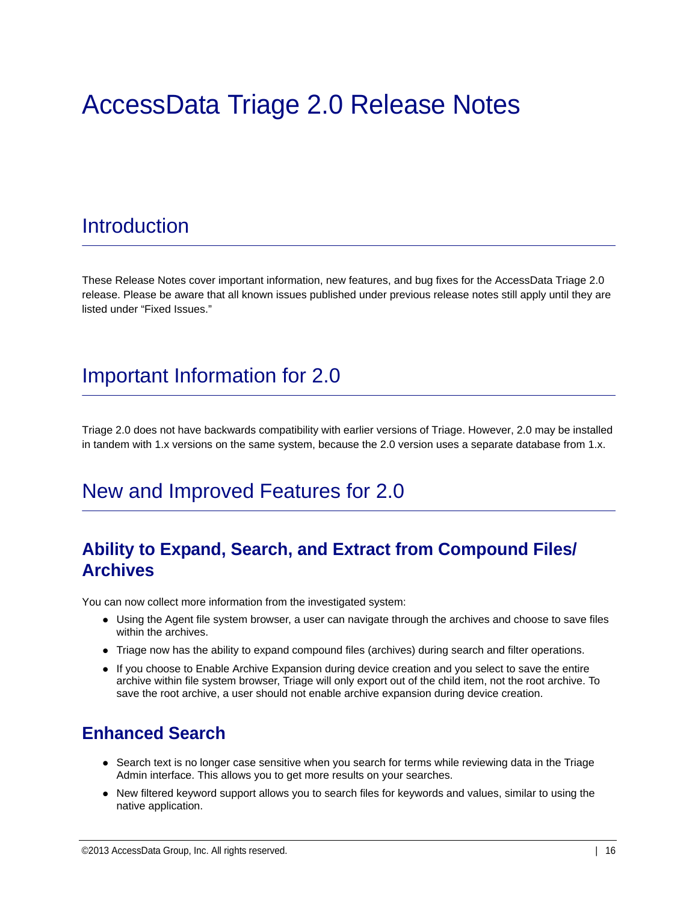# <span id="page-15-1"></span>AccessData Triage 2.0 Release Notes

# **Introduction**

These Release Notes cover important information, new features, and bug fixes for the AccessData Triage 2.0 release. Please be aware that all known issues published under previous release notes still apply until they are listed under "Fixed Issues."

# Important Information for 2.0

Triage 2.0 does not have backwards compatibility with earlier versions of Triage. However, 2.0 may be installed in tandem with 1.x versions on the same system, because the 2.0 version uses a separate database from 1.x.

# <span id="page-15-0"></span>New and Improved Features for 2.0

### **Ability to Expand, Search, and Extract from Compound Files/ Archives**

You can now collect more information from the investigated system:

- Using the Agent file system browser, a user can navigate through the archives and choose to save files within the archives.
- Triage now has the ability to expand compound files (archives) during search and filter operations.
- If you choose to Enable Archive Expansion during device creation and you select to save the entire archive within file system browser, Triage will only export out of the child item, not the root archive. To save the root archive, a user should not enable archive expansion during device creation.

### **Enhanced Search**

- Search text is no longer case sensitive when you search for terms while reviewing data in the Triage Admin interface. This allows you to get more results on your searches.
- New filtered keyword support allows you to search files for keywords and values, similar to using the native application.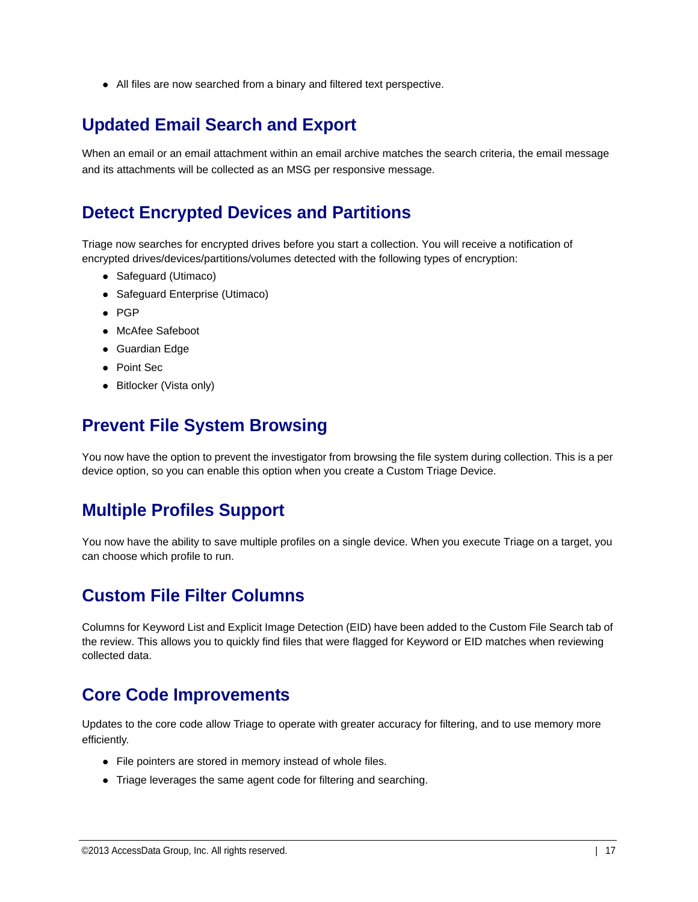All files are now searched from a binary and filtered text perspective.

### **Updated Email Search and Export**

When an email or an email attachment within an email archive matches the search criteria, the email message and its attachments will be collected as an MSG per responsive message.

### **Detect Encrypted Devices and Partitions**

Triage now searches for encrypted drives before you start a collection. You will receive a notification of encrypted drives/devices/partitions/volumes detected with the following types of encryption:

- Safeguard (Utimaco)
- Safeguard Enterprise (Utimaco)
- $\bullet$  PGP
- McAfee Safeboot
- Guardian Edge
- Point Sec
- Bitlocker (Vista only)

### **Prevent File System Browsing**

You now have the option to prevent the investigator from browsing the file system during collection. This is a per device option, so you can enable this option when you create a Custom Triage Device.

### **Multiple Profiles Support**

You now have the ability to save multiple profiles on a single device. When you execute Triage on a target, you can choose which profile to run.

### **Custom File Filter Columns**

Columns for Keyword List and Explicit Image Detection (EID) have been added to the Custom File Search tab of the review. This allows you to quickly find files that were flagged for Keyword or EID matches when reviewing collected data.

### **Core Code Improvements**

Updates to the core code allow Triage to operate with greater accuracy for filtering, and to use memory more efficiently.

- File pointers are stored in memory instead of whole files.
- Triage leverages the same agent code for filtering and searching.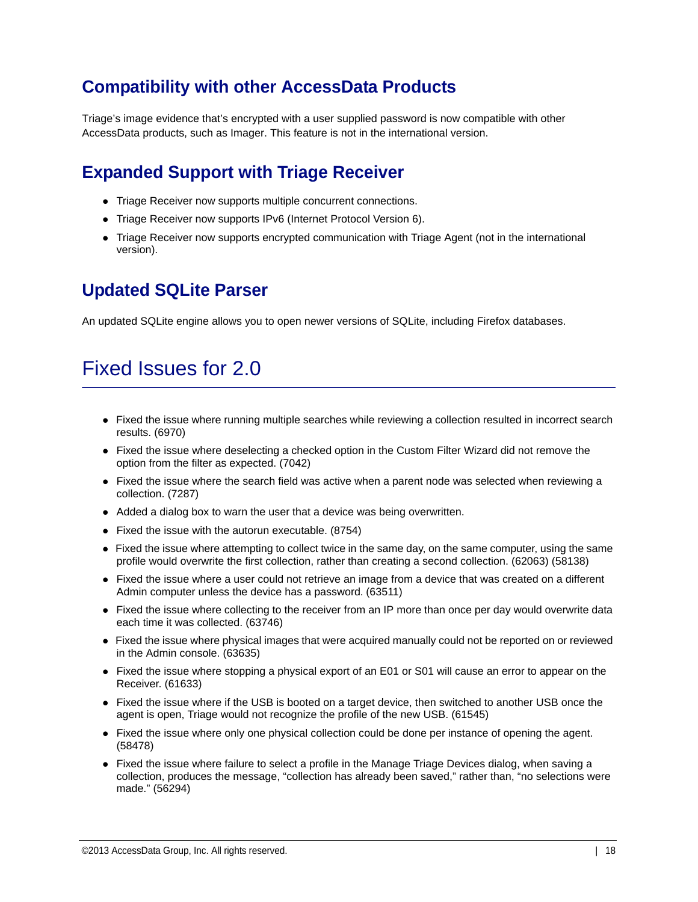### **Compatibility with other AccessData Products**

Triage's image evidence that's encrypted with a user supplied password is now compatible with other AccessData products, such as Imager. This feature is not in the international version.

### **Expanded Support with Triage Receiver**

- Triage Receiver now supports multiple concurrent connections.
- Triage Receiver now supports IPv6 (Internet Protocol Version 6).
- Triage Receiver now supports encrypted communication with Triage Agent (not in the international version).

### **Updated SQLite Parser**

An updated SQLite engine allows you to open newer versions of SQLite, including Firefox databases.

# <span id="page-17-0"></span>Fixed Issues for 2.0

- Fixed the issue where running multiple searches while reviewing a collection resulted in incorrect search results. (6970)
- Fixed the issue where deselecting a checked option in the Custom Filter Wizard did not remove the option from the filter as expected. (7042)
- Fixed the issue where the search field was active when a parent node was selected when reviewing a collection. (7287)
- Added a dialog box to warn the user that a device was being overwritten.
- Fixed the issue with the autorun executable. (8754)
- Fixed the issue where attempting to collect twice in the same day, on the same computer, using the same profile would overwrite the first collection, rather than creating a second collection. (62063) (58138)
- Fixed the issue where a user could not retrieve an image from a device that was created on a different Admin computer unless the device has a password. (63511)
- Fixed the issue where collecting to the receiver from an IP more than once per day would overwrite data each time it was collected. (63746)
- Fixed the issue where physical images that were acquired manually could not be reported on or reviewed in the Admin console. (63635)
- Fixed the issue where stopping a physical export of an E01 or S01 will cause an error to appear on the Receiver. (61633)
- Fixed the issue where if the USB is booted on a target device, then switched to another USB once the agent is open, Triage would not recognize the profile of the new USB. (61545)
- Fixed the issue where only one physical collection could be done per instance of opening the agent. (58478)
- Fixed the issue where failure to select a profile in the Manage Triage Devices dialog, when saving a collection, produces the message, "collection has already been saved," rather than, "no selections were made." (56294)